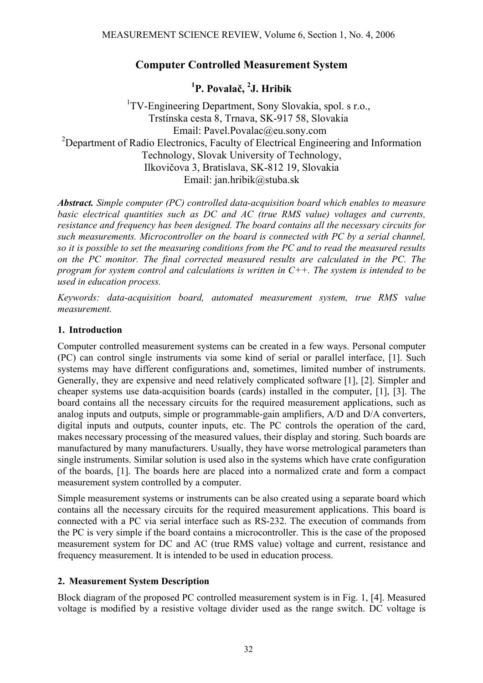## **Computer Controlled Measurement System**

# **1 P. Povalač, 2 J. Hribik**

<sup>1</sup>TV-Engineering Department, Sony Slovakia, spol. s r.o., Trstínska cesta 8, Trnava, SK-917 58, Slovakia Email: Pavel.Povalac@eu.sony.com <sup>2</sup>Department of Radio Electronics, Faculty of Electrical Engineering and Information Technology, Slovak University of Technology, Ilkovičova 3, Bratislava, SK-812 19, Slovakia Email: jan.hribik@stuba.sk

*Abstract. Simple computer (PC) controlled data-acquisition board which enables to measure basic electrical quantities such as DC and AC (true RMS value) voltages and currents, resistance and frequency has been designed. The board contains all the necessary circuits for such measurements. Microcontroller on the board is connected with PC by a serial channel, so it is possible to set the measuring conditions from the PC and to read the measured results on the PC monitor. The final corrected measured results are calculated in the PC. The program for system control and calculations is written in C++. The system is intended to be used in education process.* 

*Keywords: data-acquisition board, automated measurement system, true RMS value measurement.* 

#### **1. Introduction**

Computer controlled measurement systems can be created in a few ways. Personal computer (PC) can control single instruments via some kind of serial or parallel interface, [1]. Such systems may have different configurations and, sometimes, limited number of instruments. Generally, they are expensive and need relatively complicated software [1], [2]. Simpler and cheaper systems use data-acquisition boards (cards) installed in the computer, [1], [3]. The board contains all the necessary circuits for the required measurement applications, such as analog inputs and outputs, simple or programmable-gain amplifiers, A/D and D/A converters, digital inputs and outputs, counter inputs, etc. The PC controls the operation of the card, makes necessary processing of the measured values, their display and storing. Such boards are manufactured by many manufacturers. Usually, they have worse metrological parameters than single instruments. Similar solution is used also in the systems which have crate configuration of the boards, [1]. The boards here are placed into a normalized crate and form a compact measurement system controlled by a computer.

Simple measurement systems or instruments can be also created using a separate board which contains all the necessary circuits for the required measurement applications. This board is connected with a PC via serial interface such as RS-232. The execution of commands from the PC is very simple if the board contains a microcontroller. This is the case of the proposed measurement system for DC and AC (true RMS value) voltage and current, resistance and frequency measurement. It is intended to be used in education process.

## **2. Measurement System Description**

Block diagram of the proposed PC controlled measurement system is in Fig. 1, [4]. Measured voltage is modified by a resistive voltage divider used as the range switch. DC voltage is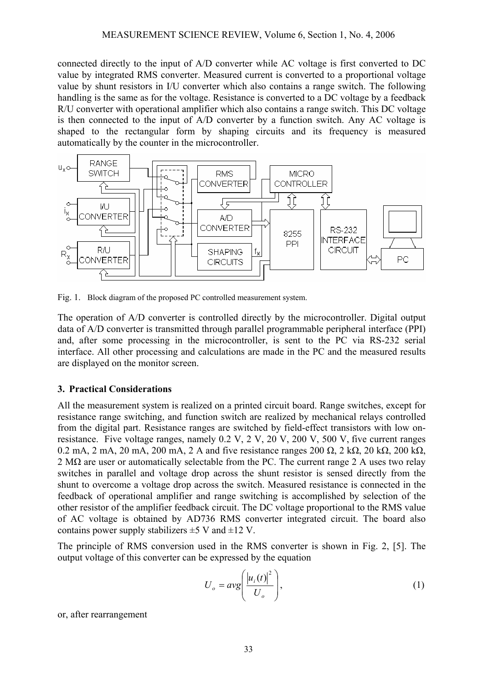connected directly to the input of A/D converter while AC voltage is first converted to DC value by integrated RMS converter. Measured current is converted to a proportional voltage value by shunt resistors in I/U converter which also contains a range switch. The following handling is the same as for the voltage. Resistance is converted to a DC voltage by a feedback R/U converter with operational amplifier which also contains a range switch. This DC voltage is then connected to the input of A/D converter by a function switch. Any AC voltage is shaped to the rectangular form by shaping circuits and its frequency is measured automatically by the counter in the microcontroller.



Fig. 1. Block diagram of the proposed PC controlled measurement system.

The operation of A/D converter is controlled directly by the microcontroller. Digital output data of A/D converter is transmitted through parallel programmable peripheral interface (PPI) and, after some processing in the microcontroller, is sent to the PC via RS-232 serial interface. All other processing and calculations are made in the PC and the measured results are displayed on the monitor screen.

#### **3. Practical Considerations**

All the measurement system is realized on a printed circuit board. Range switches, except for resistance range switching, and function switch are realized by mechanical relays controlled from the digital part. Resistance ranges are switched by field-effect transistors with low onresistance. Five voltage ranges, namely 0.2 V, 2 V, 20 V, 200 V, 500 V, five current ranges 0.2 mA, 2 mA, 20 mA, 200 mA, 2 A and five resistance ranges 200  $\Omega$ , 2 k $\Omega$ , 20 k $\Omega$ , 200 k $\Omega$ , 2 M $\Omega$  are user or automatically selectable from the PC. The current range 2 A uses two relay switches in parallel and voltage drop across the shunt resistor is sensed directly from the shunt to overcome a voltage drop across the switch. Measured resistance is connected in the feedback of operational amplifier and range switching is accomplished by selection of the other resistor of the amplifier feedback circuit. The DC voltage proportional to the RMS value of AC voltage is obtained by AD736 RMS converter integrated circuit. The board also contains power supply stabilizers  $\pm$  5 V and  $\pm$ 12 V.

The principle of RMS conversion used in the RMS converter is shown in Fig. 2, [5]. The output voltage of this converter can be expressed by the equation

$$
U_o = avg\left(\frac{|u_i(t)|^2}{U_o}\right),\tag{1}
$$

or, after rearrangement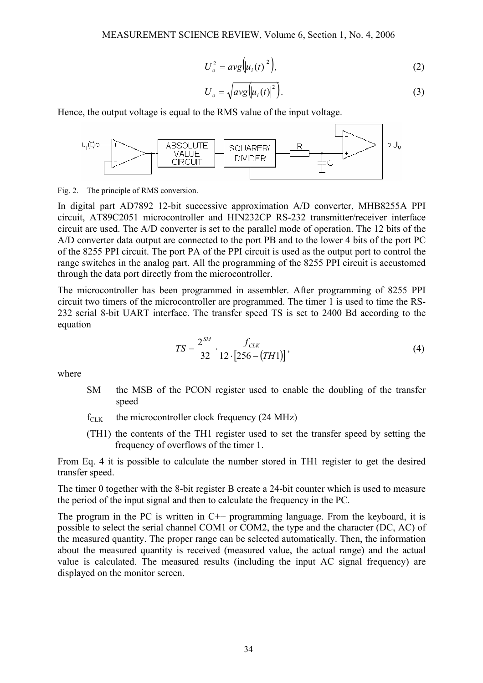$$
U_o^2 = avg(u_i(t)|^2), \qquad (2)
$$

$$
U_o = \sqrt{avg\left(u_i(t)\right)^2}.
$$
 (3)

Hence, the output voltage is equal to the RMS value of the input voltage.



Fig. 2. The principle of RMS conversion.

In digital part AD7892 12-bit successive approximation A/D converter, MHB8255A PPI circuit, AT89C2051 microcontroller and HIN232CP RS-232 transmitter/receiver interface circuit are used. The A/D converter is set to the parallel mode of operation. The 12 bits of the A/D converter data output are connected to the port PB and to the lower 4 bits of the port PC of the 8255 PPI circuit. The port PA of the PPI circuit is used as the output port to control the range switches in the analog part. All the programming of the 8255 PPI circuit is accustomed through the data port directly from the microcontroller.

The microcontroller has been programmed in assembler. After programming of 8255 PPI circuit two timers of the microcontroller are programmed. The timer 1 is used to time the RS-232 serial 8-bit UART interface. The transfer speed TS is set to 2400 Bd according to the equation

$$
TS = \frac{2^{SM}}{32} \cdot \frac{f_{CLK}}{12 \cdot [256 - (TH1)]},\tag{4}
$$

where

- SM the MSB of the PCON register used to enable the doubling of the transfer speed
- $f_{CLK}$  the microcontroller clock frequency (24 MHz)
- (TH1) the contents of the TH1 register used to set the transfer speed by setting the frequency of overflows of the timer 1.

From Eq. 4 it is possible to calculate the number stored in TH1 register to get the desired transfer speed.

The timer 0 together with the 8-bit register B create a 24-bit counter which is used to measure the period of the input signal and then to calculate the frequency in the PC.

The program in the PC is written in C++ programming language. From the keyboard, it is possible to select the serial channel COM1 or COM2, the type and the character (DC, AC) of the measured quantity. The proper range can be selected automatically. Then, the information about the measured quantity is received (measured value, the actual range) and the actual value is calculated. The measured results (including the input AC signal frequency) are displayed on the monitor screen.